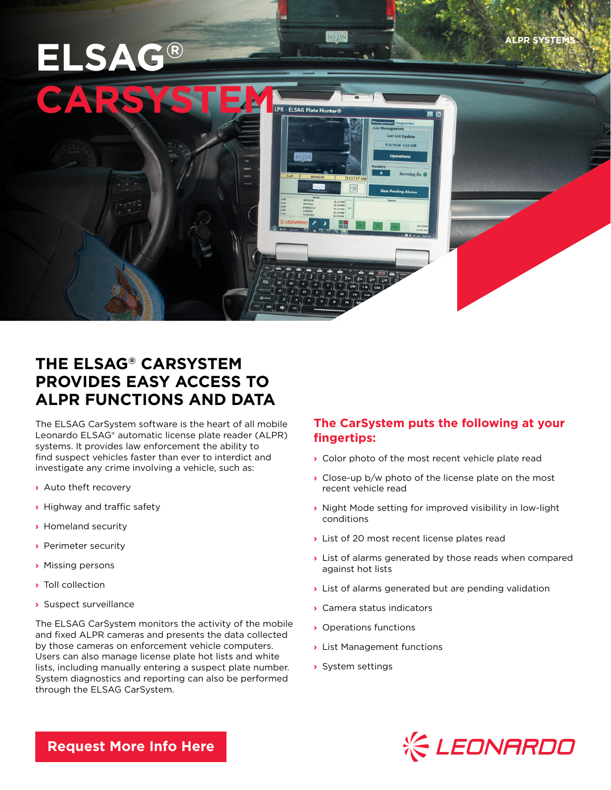# **ELSAG®**

**ALPR SYSTE** 



573-2354

## **THE ELSAG® CARSYSTEM PROVIDES EASY ACCESS TO ALPR FUNCTIONS AND DATA**

The ELSAG CarSystem software is the heart of all mobile Leonardo ELSAG® automatic license plate reader (ALPR) systems. It provides law enforcement the ability to find suspect vehicles faster than ever to interdict and investigate any crime involving a vehicle, such as:

- **›** Auto theft recovery
- **›** Highway and traffic safety
- **›** Homeland security
- **›** Perimeter security
- **›** Missing persons
- **›** Toll collection
- **›** Suspect surveillance

The ELSAG CarSystem monitors the activity of the mobile and fixed ALPR cameras and presents the data collected by those cameras on enforcement vehicle computers. Users can also manage license plate hot lists and white lists, including manually entering a suspect plate number. System diagnostics and reporting can also be performed through the ELSAG CarSystem.

### **The CarSystem puts the following at your fingertips:**

- **›** Color photo of the most recent vehicle plate read
- **›** Close-up b/w photo of the license plate on the most recent vehicle read
- **›** Night Mode setting for improved visibility in low-light conditions
- **›** List of 20 most recent license plates read
- **›** List of alarms generated by those reads when compared against hot lists
- **›** List of alarms generated but are pending validation
- **›** Camera status indicators
- **›** Operations functions
- **›** List Management functions
- **›** System settings



**[Request More Info Here](https://www.leonardocompany-us.com/lpr/qr_info_request)**